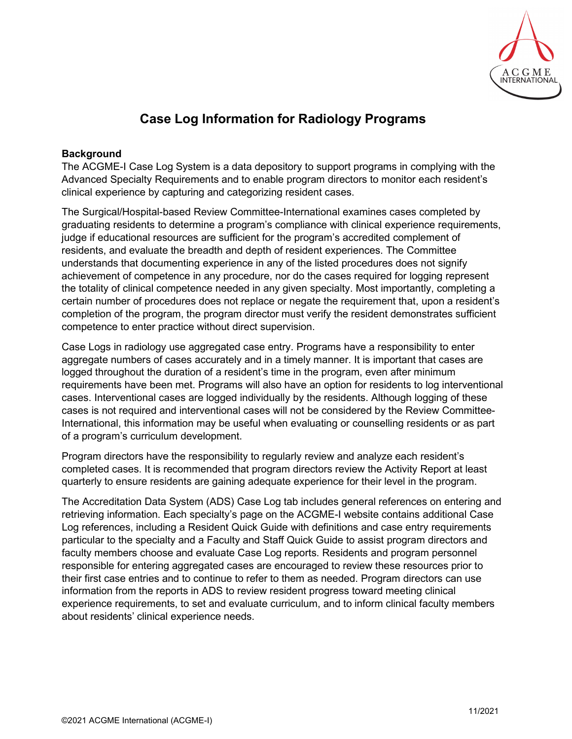

# **Case Log Information for Radiology Programs**

## **Background**

The ACGME-I Case Log System is a data depository to support programs in complying with the Advanced Specialty Requirements and to enable program directors to monitor each resident's clinical experience by capturing and categorizing resident cases.

The Surgical/Hospital-based Review Committee-International examines cases completed by graduating residents to determine a program's compliance with clinical experience requirements, judge if educational resources are sufficient for the program's accredited complement of residents, and evaluate the breadth and depth of resident experiences. The Committee understands that documenting experience in any of the listed procedures does not signify achievement of competence in any procedure, nor do the cases required for logging represent the totality of clinical competence needed in any given specialty. Most importantly, completing a certain number of procedures does not replace or negate the requirement that, upon a resident's completion of the program, the program director must verify the resident demonstrates sufficient competence to enter practice without direct supervision.

Case Logs in radiology use aggregated case entry. Programs have a responsibility to enter aggregate numbers of cases accurately and in a timely manner. It is important that cases are logged throughout the duration of a resident's time in the program, even after minimum requirements have been met. Programs will also have an option for residents to log interventional cases. Interventional cases are logged individually by the residents. Although logging of these cases is not required and interventional cases will not be considered by the Review Committee-International, this information may be useful when evaluating or counselling residents or as part of a program's curriculum development.

Program directors have the responsibility to regularly review and analyze each resident's completed cases. It is recommended that program directors review the Activity Report at least quarterly to ensure residents are gaining adequate experience for their level in the program.

The Accreditation Data System (ADS) Case Log tab includes general references on entering and retrieving information. Each specialty's page on the ACGME-I website contains additional Case Log references, including a Resident Quick Guide with definitions and case entry requirements particular to the specialty and a Faculty and Staff Quick Guide to assist program directors and faculty members choose and evaluate Case Log reports. Residents and program personnel responsible for entering aggregated cases are encouraged to review these resources prior to their first case entries and to continue to refer to them as needed. Program directors can use information from the reports in ADS to review resident progress toward meeting clinical experience requirements, to set and evaluate curriculum, and to inform clinical faculty members about residents' clinical experience needs.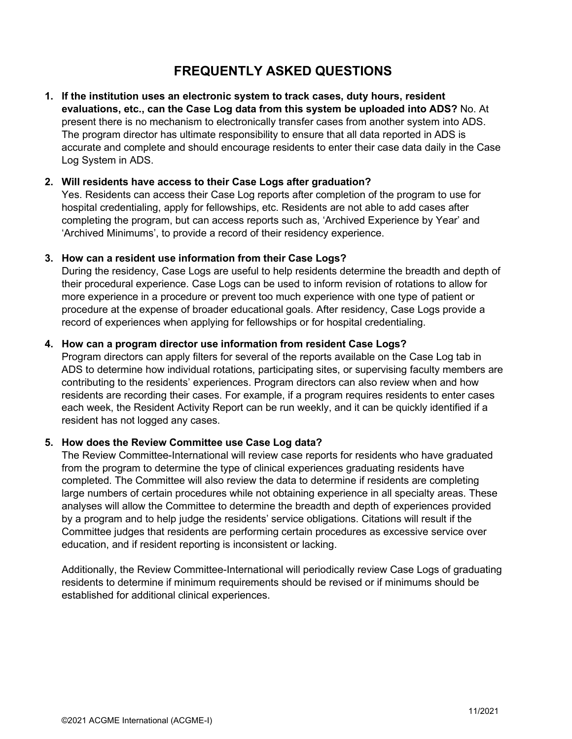## **FREQUENTLY ASKED QUESTIONS**

**1. If the institution uses an electronic system to track cases, duty hours, resident evaluations, etc., can the Case Log data from this system be uploaded into ADS?** No. At present there is no mechanism to electronically transfer cases from another system into ADS. The program director has ultimate responsibility to ensure that all data reported in ADS is accurate and complete and should encourage residents to enter their case data daily in the Case Log System in ADS.

### **2. Will residents have access to their Case Logs after graduation?**

Yes. Residents can access their Case Log reports after completion of the program to use for hospital credentialing, apply for fellowships, etc. Residents are not able to add cases after completing the program, but can access reports such as, 'Archived Experience by Year' and 'Archived Minimums', to provide a record of their residency experience.

### **3. How can a resident use information from their Case Logs?**

During the residency, Case Logs are useful to help residents determine the breadth and depth of their procedural experience. Case Logs can be used to inform revision of rotations to allow for more experience in a procedure or prevent too much experience with one type of patient or procedure at the expense of broader educational goals. After residency, Case Logs provide a record of experiences when applying for fellowships or for hospital credentialing.

### **4. How can a program director use information from resident Case Logs?**

Program directors can apply filters for several of the reports available on the Case Log tab in ADS to determine how individual rotations, participating sites, or supervising faculty members are contributing to the residents' experiences. Program directors can also review when and how residents are recording their cases. For example, if a program requires residents to enter cases each week, the Resident Activity Report can be run weekly, and it can be quickly identified if a resident has not logged any cases.

#### **5. How does the Review Committee use Case Log data?**

The Review Committee-International will review case reports for residents who have graduated from the program to determine the type of clinical experiences graduating residents have completed. The Committee will also review the data to determine if residents are completing large numbers of certain procedures while not obtaining experience in all specialty areas. These analyses will allow the Committee to determine the breadth and depth of experiences provided by a program and to help judge the residents' service obligations. Citations will result if the Committee judges that residents are performing certain procedures as excessive service over education, and if resident reporting is inconsistent or lacking.

Additionally, the Review Committee-International will periodically review Case Logs of graduating residents to determine if minimum requirements should be revised or if minimums should be established for additional clinical experiences.